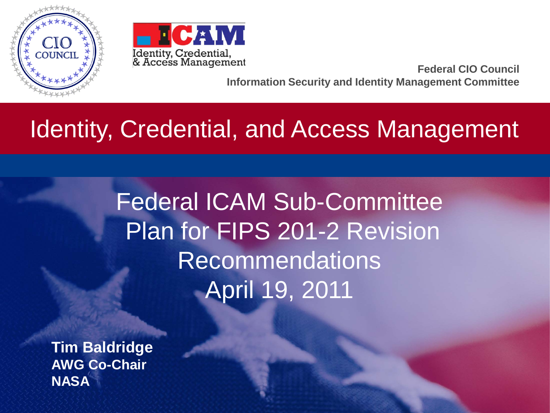



**Federal CIO Council Information Security and Identity Management Committee**

## Identity, Credential, and Access Management

Federal ICAM Sub-Committee Plan for FIPS 201-2 Revision Recommendations April 19, 2011

**Tim Baldridge AWG Co-Chair NASA**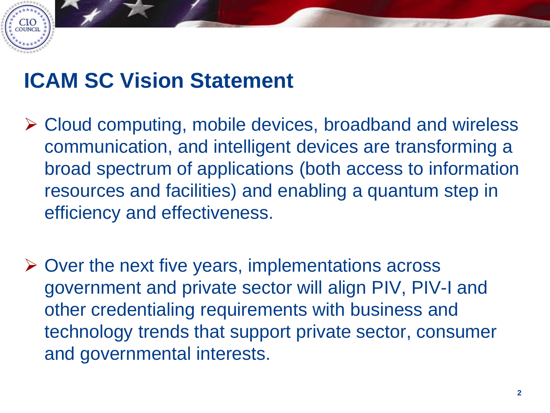## **ICAM SC Vision Statement**

CIO<sub>council</sub>

- Cloud computing, mobile devices, broadband and wireless communication, and intelligent devices are transforming a broad spectrum of applications (both access to information resources and facilities) and enabling a quantum step in efficiency and effectiveness.
- $\triangleright$  Over the next five years, implementations across government and private sector will align PIV, PIV-I and other credentialing requirements with business and technology trends that support private sector, consumer and governmental interests.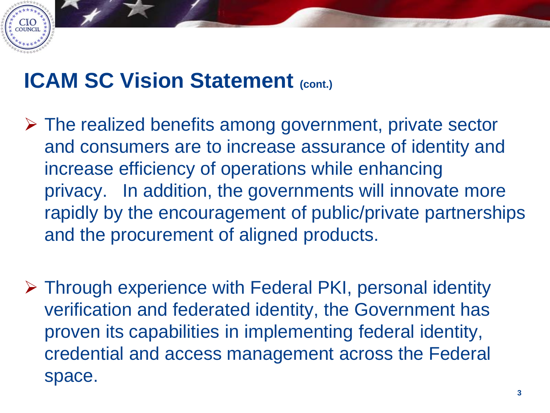## **ICAM SC Vision Statement (cont.)**

**CIO**<br>COUNCIL

- $\triangleright$  The realized benefits among government, private sector and consumers are to increase assurance of identity and increase efficiency of operations while enhancing privacy. In addition, the governments will innovate more rapidly by the encouragement of public/private partnerships and the procurement of aligned products.
- Through experience with Federal PKI, personal identity verification and federated identity, the Government has proven its capabilities in implementing federal identity, credential and access management across the Federal space.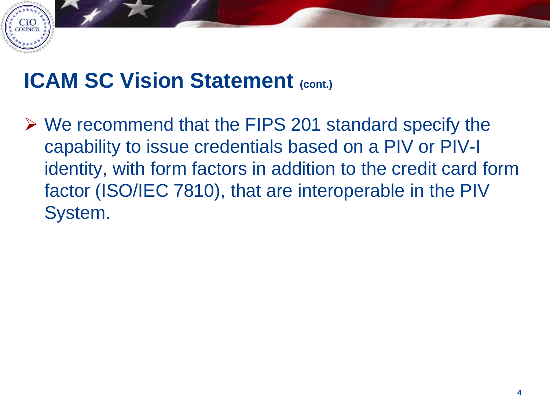

### **ICAM SC Vision Statement (cont.)**

 We recommend that the FIPS 201 standard specify the capability to issue credentials based on a PIV or PIV-I identity, with form factors in addition to the credit card form factor (ISO/IEC 7810), that are interoperable in the PIV System.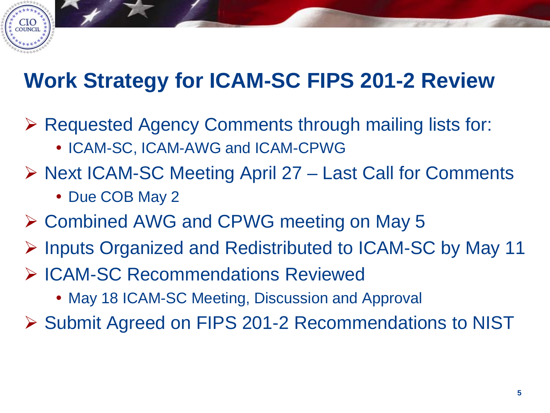## **Work Strategy for ICAM-SC FIPS 201-2 Review**

- Requested Agency Comments through mailing lists for:
	- ICAM-SC, ICAM-AWG and ICAM-CPWG
- ▶ Next ICAM-SC Meeting April 27 Last Call for Comments
	- Due COB May 2

CIO<br>council

- Combined AWG and CPWG meeting on May 5
- Inputs Organized and Redistributed to ICAM-SC by May 11
- ▶ ICAM-SC Recommendations Reviewed
	- May 18 ICAM-SC Meeting, Discussion and Approval
- ▶ Submit Agreed on FIPS 201-2 Recommendations to NIST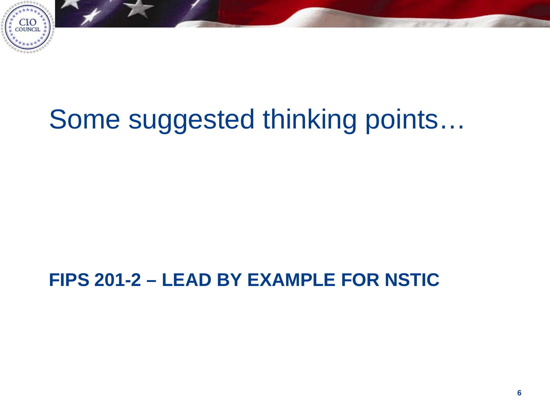

## Some suggested thinking points…

#### **FIPS 201-2 – LEAD BY EXAMPLE FOR NSTIC**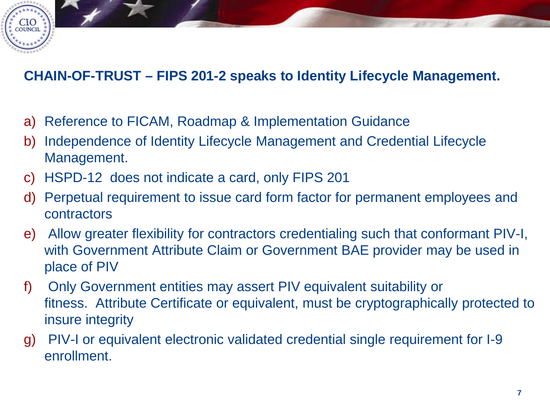#### **CHAIN-OF-TRUST – FIPS 201-2 speaks to Identity Lifecycle Management.**

- a) Reference to FICAM, Roadmap & Implementation Guidance
- b) Independence of Identity Lifecycle Management and Credential Lifecycle Management.
- c) HSPD-12 does not indicate a card, only FIPS 201

CIO<br>council

- d) Perpetual requirement to issue card form factor for permanent employees and contractors
- e) Allow greater flexibility for contractors credentialing such that conformant PIV-I, with Government Attribute Claim or Government BAE provider may be used in place of PIV
- f) Only Government entities may assert PIV equivalent suitability or fitness. Attribute Certificate or equivalent, must be cryptographically protected to insure integrity
- g) PIV-I or equivalent electronic validated credential single requirement for I-9 enrollment.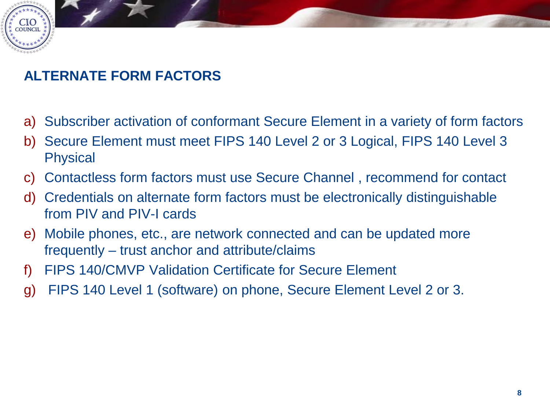# CIO<br>council

#### **ALTERNATE FORM FACTORS**

- a) Subscriber activation of conformant Secure Element in a variety of form factors
- b) Secure Element must meet FIPS 140 Level 2 or 3 Logical, FIPS 140 Level 3 **Physical**
- c) Contactless form factors must use Secure Channel , recommend for contact
- d) Credentials on alternate form factors must be electronically distinguishable from PIV and PIV-I cards
- e) Mobile phones, etc., are network connected and can be updated more frequently – trust anchor and attribute/claims
- f) FIPS 140/CMVP Validation Certificate for Secure Element
- g) FIPS 140 Level 1 (software) on phone, Secure Element Level 2 or 3.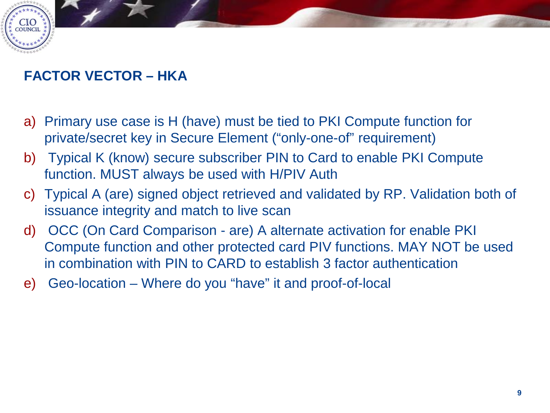#### **FACTOR VECTOR – HKA**

CIO<br>council

- a) Primary use case is H (have) must be tied to PKI Compute function for private/secret key in Secure Element ("only-one-of" requirement)
- b) Typical K (know) secure subscriber PIN to Card to enable PKI Compute function. MUST always be used with H/PIV Auth
- c) Typical A (are) signed object retrieved and validated by RP. Validation both of issuance integrity and match to live scan
- d) OCC (On Card Comparison are) A alternate activation for enable PKI Compute function and other protected card PIV functions. MAY NOT be used in combination with PIN to CARD to establish 3 factor authentication
- e) Geo-location Where do you "have" it and proof-of-local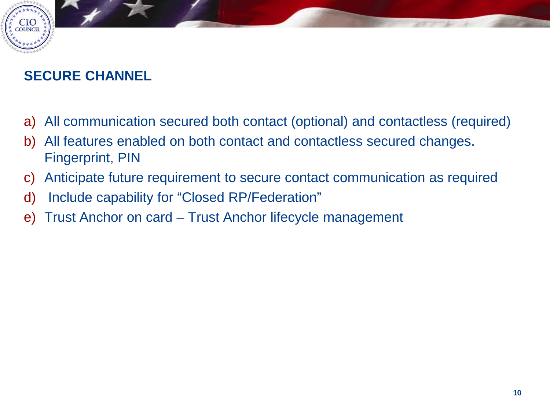#### **SECURE CHANNEL**

 $CIO$ <sub>COUNCIL</sub>

- a) All communication secured both contact (optional) and contactless (required)
- b) All features enabled on both contact and contactless secured changes. Fingerprint, PIN
- c) Anticipate future requirement to secure contact communication as required
- d) Include capability for "Closed RP/Federation"
- e) Trust Anchor on card Trust Anchor lifecycle management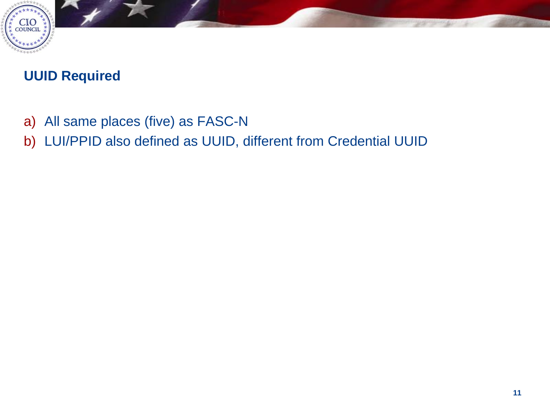

#### **UUID Required**

- a) All same places (five) as FASC-N
- b) LUI/PPID also defined as UUID, different from Credential UUID